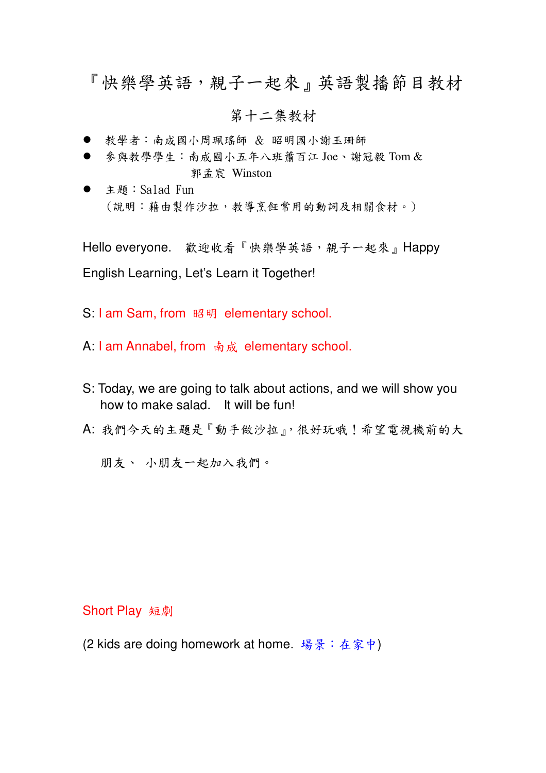# 『快樂學英語,親子一起來』英語製播節目教材

## 第十二集教材

- 教學者:南成國小周珮瑤師 & 昭明國小謝玉珊師
- 參與教學學生:南成國小五年八班蕭百江 Joe、謝冠毅 Tom & 郭孟宸 Winston
- 主題:Salad Fun (說明:藉由製作沙拉,教導烹飪常用的動詞及相關食材。)

Hello everyone. 歡迎收看『快樂學英語,親子一起來』Happy English Learning, Let's Learn it Together!

S: I am Sam, from 昭明 elementary school.

A: I am Annabel, from 南成 elementary school.

- S: Today, we are going to talk about actions, and we will show you how to make salad. It will be fun!
- A: 我們今天的主題是『動手做沙拉』, 很好玩哦!希望電視機前的大

朋友、小朋友一起加入我們。

#### **Short Play** 短劇

(2 kids are doing homework at home. 場景:在家中)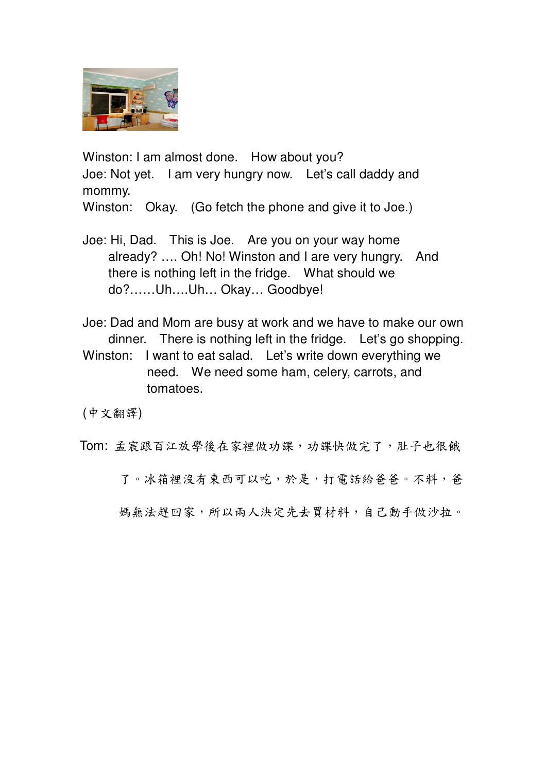

Winston: I am almost done. How about you? Joe: Not yet. I am very hungry now. Let's call daddy and mommy. Winston: Okay. (Go fetch the phone and give it to Joe.)

Joe: Hi, Dad. This is Joe. Are you on your way home already? …. Oh! No! Winston and I are very hungry. And there is nothing left in the fridge. What should we do?……Uh….Uh… Okay… Goodbye!

Joe: Dad and Mom are busy at work and we have to make our own dinner. There is nothing left in the fridge. Let's go shopping. Winston: I want to eat salad. Let's write down everything we need. We need some ham, celery, carrots, and tomatoes.

(中文翻譯)

Tom: 孟宸跟百江放學後在家裡做功課, 功課快做完了, 肚子也很餓

了。冰箱裡沒有東西可以吃,於是,打電話給爸爸。不料,爸

媽無法趕回家,所以兩人決定先去買材料,自己動手做沙拉。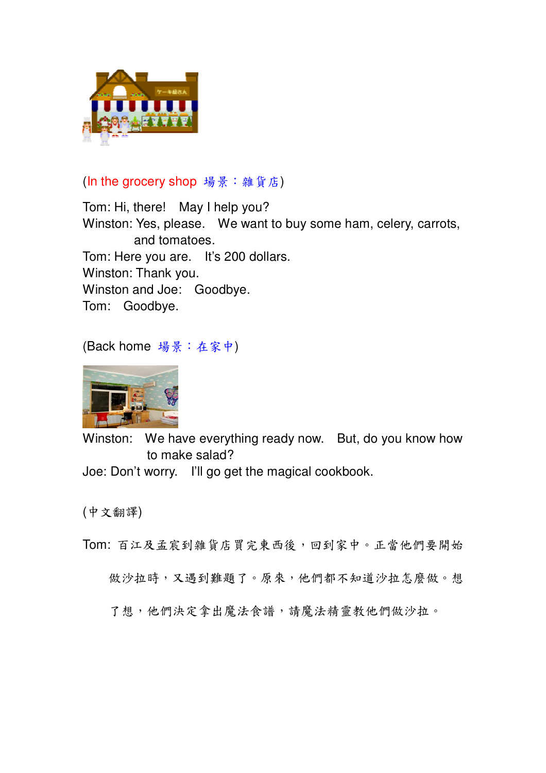

# (In the grocery shop 場景: 雜貨店)

Tom: Hi, there! May I help you? Winston: Yes, please. We want to buy some ham, celery, carrots, and tomatoes. Tom: Here you are. It's 200 dollars. Winston: Thank you. Winston and Joe: Goodbye. Tom: Goodbye.

(Back home 場景:在家中)



Winston: We have everything ready now. But, do you know how to make salad? Joe: Don't worry. I'll go get the magical cookbook.

(中文翻譯)

Tom: 百江及孟宸到雜貨店買完東西後,回到家中。正當他們要開始

做沙拉時,又遇到難題了。原來,他們都不知道沙拉怎麼做。想

了想,他們決定拿出魔法食譜,請魔法精靈教他們做沙拉。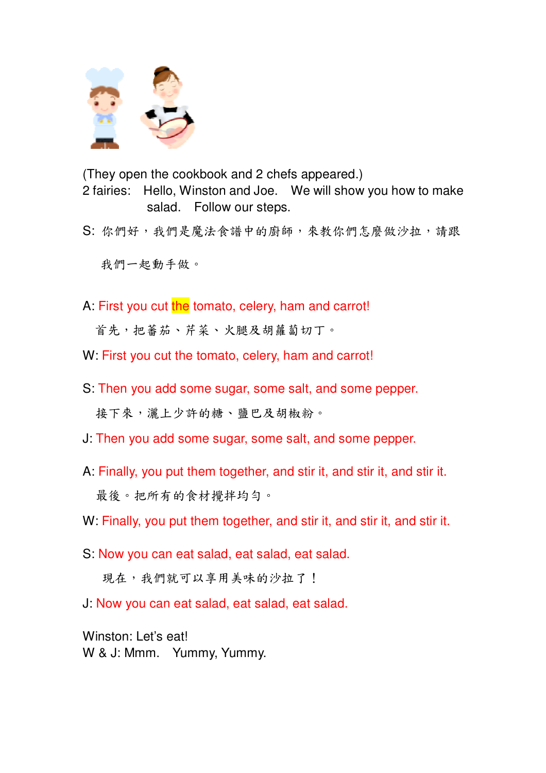

(They open the cookbook and 2 chefs appeared.) 2 fairies: Hello, Winston and Joe. We will show you how to make salad. Follow our steps.

S: 你們好,我們是魔法食譜中的廚師,來教你們怎麼做沙拉,請跟

我們一起動手做。

A: First you cut the tomato, celery, ham and carrot!

首先,把蕃茄、芹菜、火腿及胡蘿蔔切丁。

- W: First you cut the tomato, celery, ham and carrot!
- S: Then you add some sugar, some salt, and some pepper. 接下來,灑上少許的糖、鹽巴及胡椒粉。
- J: Then you add some sugar, some salt, and some pepper.
- A: Finally, you put them together, and stir it, and stir it, and stir it. 最後。把所有的食材攪拌均勻。
- W: Finally, you put them together, and stir it, and stir it, and stir it.
- S: Now you can eat salad, eat salad, eat salad.

現在,我們就可以享用美味的沙拉了!

J: Now you can eat salad, eat salad, eat salad.

Winston: Let's eat! W & J: Mmm. Yummy, Yummy.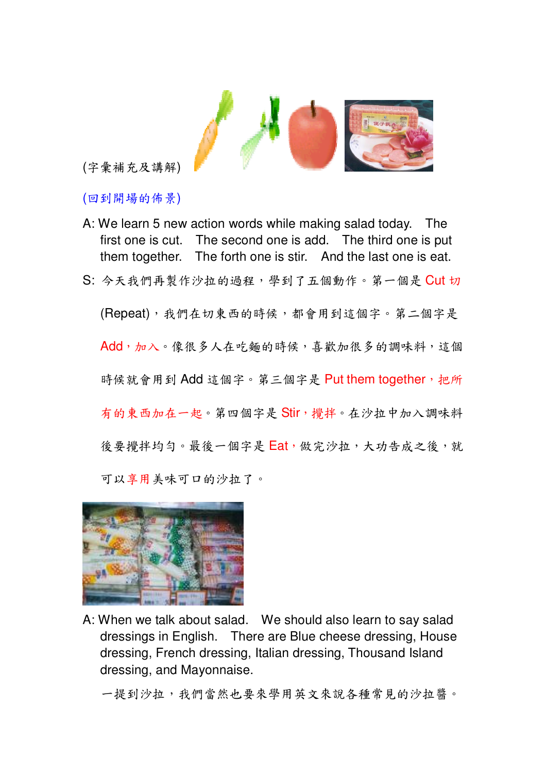

(字彙補充及講解)

(回到開場的佈景)

- A: We learn 5 new action words while making salad today. The first one is cut. The second one is add. The third one is put The forth one is stir. And the last one is eat. them together.
- S: 今天我們再製作沙拉的過程,學到了五個動作。第一個是 Cut 切

(Repeat), 我們在切東西的時候, 都會用到這個字。第二個字是 Add, 加入。像很多人在吃麵的時候, 喜歡加很多的調味料, 這個 時候就會用到 Add 這個字。第三個字是 Put them together, 把所 有的東西加在一起。第四個字是 Stir, 攪拌。在沙拉中加入調味料 後要攪拌均勻。最後一個字是 Eat, 做完沙拉, 大功告成之後, 就 可以享用美味可口的沙拉了。



A: When we talk about salad. We should also learn to say salad dressings in English. There are Blue cheese dressing, House dressing, French dressing, Italian dressing, Thousand Island dressing, and Mayonnaise.

一提到沙拉,我們當然也要來學用英文來說各種常見的沙拉醬。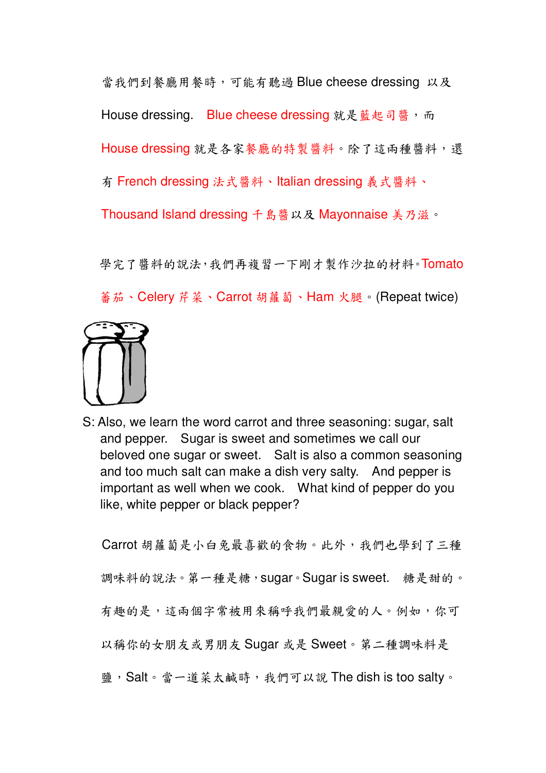當我們到餐廳用餐時,可能有聽過 Blue cheese dressing 以及 House dressing. Blue cheese dressing 就是藍起司醬, 而 House dressing 就是各家餐廳的特製醬料。除了這兩種醬料,還 有 French dressing 法式醬料、Italian dressing 義式醬料、 Thousand Island dressing 千島醬以及 Mayonnaise 美乃滋。

學完了醬料的說法,我們再複習一下剛才製作沙拉的材料。Tomato 蕃茄、Celery 芹菜、Carrot 胡蘿蔔、Ham 火腿。(Repeat twice)



S: Also, we learn the word carrot and three seasoning: sugar, salt and pepper. Sugar is sweet and sometimes we call our beloved one sugar or sweet. Salt is also a common seasoning and too much salt can make a dish very salty. And pepper is important as well when we cook. What kind of pepper do you like, white pepper or black pepper?

Carrot 胡蘿蔔是小白兔最喜歡的食物。此外,我們也學到了三種 調味料的說法。第一種是糖, sugar。Sugar is sweet. 糖是甜的。 有趣的是,這兩個字常被用來稱呼我們最親愛的人。例如,你可 以稱你的女朋友或男朋友 Sugar 或是 Sweet。第二種調味料是 鹽, Salt。當一道菜太鹹時, 我們可以說 The dish is too salty。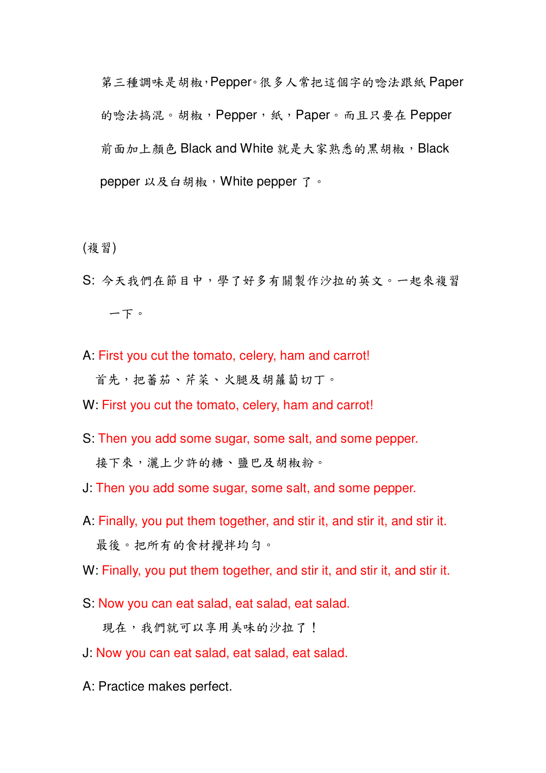第三種調味是胡椒, Pepper。很多人常把這個字的唸法跟紙 Paper 的唸法搞混。胡椒, Pepper, 紙, Paper。而且只要在 Pepper 前面加上顏色 Black and White 就是大家熟悉的黑胡椒, Black pepper 以及白胡椒, White pepper 了。

(複習)

- S: 今天我們在節目中,學了好多有關製作沙拉的英文。一起來複習 一下。
- A: First you cut the tomato, celery, ham and carrot! 首先,把蕃茄、芹菜、火腿及胡蘿蔔切丁。
- W: First you cut the tomato, celery, ham and carrot!
- S: Then you add some sugar, some salt, and some pepper. 接下來,灑上少許的糖、鹽巴及胡椒粉。
- J: Then you add some sugar, some salt, and some pepper.
- A: Finally, you put them together, and stir it, and stir it, and stir it. 最後。把所有的食材攪拌均勻。
- W: Finally, you put them together, and stir it, and stir it, and stir it.
- S: Now you can eat salad, eat salad, eat salad.

現在,我們就可以享用美味的沙拉了!

- J: Now you can eat salad, eat salad, eat salad.
- A: Practice makes perfect.